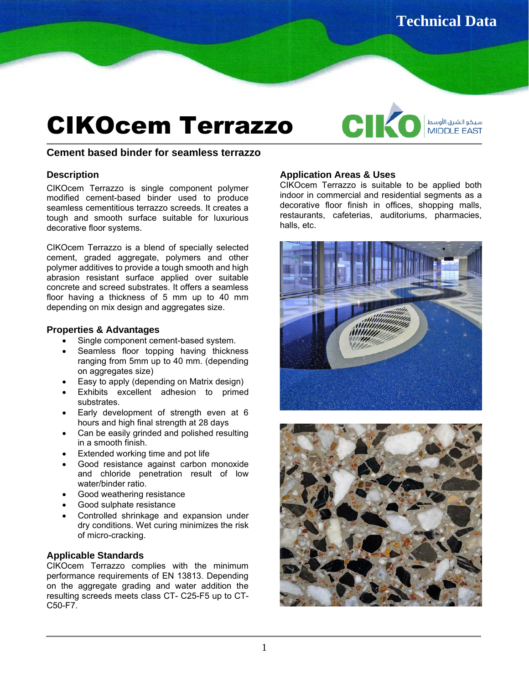# CIKOcem Terrazzo

C MIDDLE EAST

### **Cement based binder for seamless terrazzo**

### **Description**

CIKOcem Terrazzo is single component polymer modified cement-based binder used to produce seamless cementitious terrazzo screeds. It creates a tough and smooth surface suitable for luxurious decorative floor systems.

CIKOcem Terrazzo is a blend of specially selected cement, graded aggregate, polymers and other polymer additives to provide a tough smooth and high abrasion resistant surface applied over suitable concrete and screed substrates. It offers a seamless floor having a thickness of 5 mm up to 40 mm depending on mix design and aggregates size.

### **Properties & Advantages**

- Single component cement-based system.
- Seamless floor topping having thickness ranging from 5mm up to 40 mm. (depending on aggregates size)
- Easy to apply (depending on Matrix design)
- Exhibits excellent adhesion to primed substrates.
- Early development of strength even at 6 hours and high final strength at 28 days
- Can be easily grinded and polished resulting in a smooth finish.
- Extended working time and pot life
- Good resistance against carbon monoxide and chloride penetration result of low water/binder ratio.
- Good weathering resistance
- Good sulphate resistance
- Controlled shrinkage and expansion under dry conditions. Wet curing minimizes the risk of micro-cracking.

## **Applicable Standards**

CIKOcem Terrazzo complies with the minimum performance requirements of EN 13813. Depending on the aggregate grading and water addition the resulting screeds meets class CT- C25-F5 up to CT-C50-F7.

### **Application Areas & Uses**

CIKOcem Terrazzo is suitable to be applied both indoor in commercial and residential segments as a decorative floor finish in offices, shopping malls, restaurants, cafeterias, auditoriums, pharmacies, halls, etc.



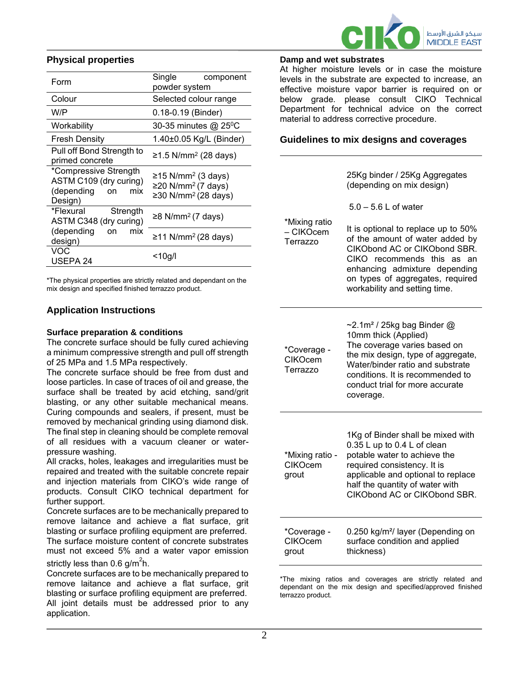

## **Physical properties**

| Form                                                                                  | Single<br>component<br>powder system                                                                |
|---------------------------------------------------------------------------------------|-----------------------------------------------------------------------------------------------------|
| Colour                                                                                | Selected colour range                                                                               |
| W/P                                                                                   | 0.18-0.19 (Binder)                                                                                  |
| Workability                                                                           | 30-35 minutes @ 25°C                                                                                |
| <b>Fresh Density</b>                                                                  | 1.40±0.05 Kg/L (Binder)                                                                             |
| Pull off Bond Strength to<br>primed concrete                                          | ≥1.5 N/mm <sup>2</sup> (28 days)                                                                    |
| *Compressive Strength<br>ASTM C109 (dry curing)<br>(depending<br>mix<br>on<br>Design) | ≥15 N/mm <sup>2</sup> (3 days)<br>≥20 N/mm <sup>2</sup> (7 days)<br>≥30 N/mm <sup>2</sup> (28 days) |
| *Flexural<br>Strength<br>ASTM C348 (dry curing)                                       | ≥8 N/mm <sup>2</sup> (7 days)                                                                       |
| (depending<br>mix<br>on<br>design)                                                    | ≥11 N/mm <sup>2</sup> (28 days)                                                                     |
| VOC<br>USEPA 24                                                                       | <10g/l                                                                                              |

\*The physical properties are strictly related and dependant on the mix design and specified finished terrazzo product.

# **Application Instructions**

#### **Surface preparation & conditions**

The concrete surface should be fully cured achieving a minimum compressive strength and pull off strength of 25 MPa and 1.5 MPa respectively.

The concrete surface should be free from dust and loose particles. In case of traces of oil and grease, the surface shall be treated by acid etching, sand/grit blasting, or any other suitable mechanical means. Curing compounds and sealers, if present, must be removed by mechanical grinding using diamond disk. The final step in cleaning should be complete removal of all residues with a vacuum cleaner or waterpressure washing.

All cracks, holes, leakages and irregularities must be repaired and treated with the suitable concrete repair and injection materials from CIKO's wide range of products. Consult CIKO technical department for further support.

Concrete surfaces are to be mechanically prepared to remove laitance and achieve a flat surface, grit blasting or surface profiling equipment are preferred. The surface moisture content of concrete substrates must not exceed 5% and a water vapor emission strictly less than 0.6 g/m $^2$ h.

Concrete surfaces are to be mechanically prepared to remove laitance and achieve a flat surface, grit blasting or surface profiling equipment are preferred. All joint details must be addressed prior to any application.

#### **Damp and wet substrates**

– CIKOcem Terrazzo

At higher moisture levels or in case the moisture levels in the substrate are expected to increase, an effective moisture vapor barrier is required on or below grade. please consult CIKO Technical Department for technical advice on the correct material to address corrective procedure.

## **Guidelines to mix designs and coverages**

25Kg binder / 25Kg Aggregates (depending on mix design)

5.0 – 5.6 L of water

\*Mixing ratio It is optional to replace up to 50% of the amount of water added by CIKObond AC or CIKObond SBR. CIKO recommends this as an enhancing admixture depending on types of aggregates, required workability and setting time.

| *Mixing ratio -<br><b>CIKOcem</b><br>grout | 1Kg of Binder shall be mixed with<br>0.35 L up to 0.4 L of clean<br>potable water to achieve the<br>required consistency. It is<br>applicable and optional to replace<br>half the quantity of water with<br>CIKObond AC or CIKObond SBR. |
|--------------------------------------------|------------------------------------------------------------------------------------------------------------------------------------------------------------------------------------------------------------------------------------------|
| *Coverage -                                | 0.250 kg/m <sup>2</sup> / layer (Depending on                                                                                                                                                                                            |
| <b>CIKOcem</b>                             | surface condition and applied                                                                                                                                                                                                            |

\*The mixing ratios and coverages are strictly related and dependant on the mix design and specified/approved finished terrazzo product.

thickness)

grout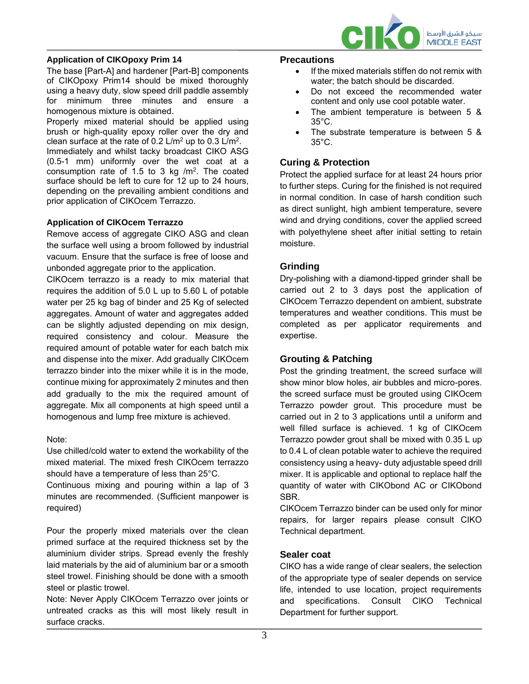

## **Application of CIKOpoxy Prim 14**

The base [Part-A] and hardener [Part-B] components of CIKOpoxy Prim14 should be mixed thoroughly using a heavy duty, slow speed drill paddle assembly for minimum three minutes and ensure a homogenous mixture is obtained.

Properly mixed material should be applied using brush or high-quality epoxy roller over the dry and clean surface at the rate of 0.2 L/m<sup>2</sup> up to 0.3 L/m<sup>2</sup>. Immediately and whilst tacky broadcast CIKO ASG (0.5-1 mm) uniformly over the wet coat at a consumption rate of 1.5 to 3 kg  $/m<sup>2</sup>$ . The coated surface should be left to cure for 12 up to 24 hours, depending on the prevailing ambient conditions and prior application of CIKOcem Terrazzo.

#### **Application of CIKOcem Terrazzo**

Remove access of aggregate CIKO ASG and clean the surface well using a broom followed by industrial vacuum. Ensure that the surface is free of loose and unbonded aggregate prior to the application.

CIKOcem terrazzo is a ready to mix material that requires the addition of 5.0 L up to 5.60 L of potable water per 25 kg bag of binder and 25 Kg of selected aggregates. Amount of water and aggregates added can be slightly adjusted depending on mix design, required consistency and colour. Measure the required amount of potable water for each batch mix and dispense into the mixer. Add gradually CIKOcem terrazzo binder into the mixer while it is in the mode, continue mixing for approximately 2 minutes and then add gradually to the mix the required amount of aggregate. Mix all components at high speed until a homogenous and lump free mixture is achieved.

#### Note:

Use chilled/cold water to extend the workability of the mixed material. The mixed fresh CIKOcem terrazzo should have a temperature of less than 25°C.

Continuous mixing and pouring within a lap of 3 minutes are recommended. (Sufficient manpower is required)

Pour the properly mixed materials over the clean primed surface at the required thickness set by the aluminium divider strips. Spread evenly the freshly laid materials by the aid of aluminium bar or a smooth steel trowel. Finishing should be done with a smooth steel or plastic trowel.

Note: Never Apply CIKOcem Terrazzo over joints or untreated cracks as this will most likely result in surface cracks.

#### **Precautions**

- If the mixed materials stiffen do not remix with water; the batch should be discarded.
- Do not exceed the recommended water content and only use cool potable water.
- The ambient temperature is between 5 & 35°C.
- The substrate temperature is between 5 & 35°C.

### **Curing & Protection**

Protect the applied surface for at least 24 hours prior to further steps. Curing for the finished is not required in normal condition. In case of harsh condition such as direct sunlight, high ambient temperature, severe wind and drying conditions, cover the applied screed with polyethylene sheet after initial setting to retain moisture.

### **Grinding**

Dry-polishing with a diamond-tipped grinder shall be carried out 2 to 3 days post the application of CIKOcem Terrazzo dependent on ambient, substrate temperatures and weather conditions. This must be completed as per applicator requirements and expertise.

#### **Grouting & Patching**

Post the grinding treatment, the screed surface will show minor blow holes, air bubbles and micro-pores. the screed surface must be grouted using CIKOcem Terrazzo powder grout. This procedure must be carried out in 2 to 3 applications until a uniform and well filled surface is achieved. 1 kg of CIKOcem Terrazzo powder grout shall be mixed with 0.35 L up to 0.4 L of clean potable water to achieve the required consistency using a heavy- duty adjustable speed drill mixer. It is applicable and optional to replace half the quantity of water with CIKObond AC or CIKObond SBR.

CIKOcem Terrazzo binder can be used only for minor repairs, for larger repairs please consult CIKO Technical department.

#### **Sealer coat**

CIKO has a wide range of clear sealers, the selection of the appropriate type of sealer depends on service life, intended to use location, project requirements and specifications. Consult CIKO Technical Department for further support.